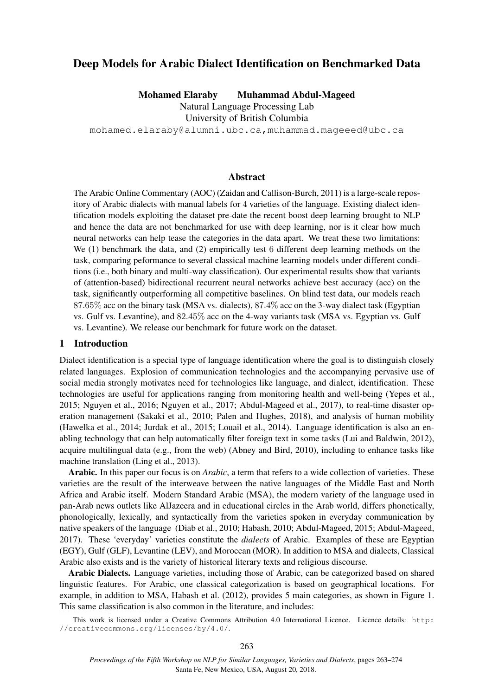# Deep Models for Arabic Dialect Identification on Benchmarked Data

Mohamed Elaraby Muhammad Abdul-Mageed

Natural Language Processing Lab

University of British Columbia

mohamed.elaraby@alumni.ubc.ca,muhammad.mageeed@ubc.ca

## Abstract

The Arabic Online Commentary (AOC) (Zaidan and Callison-Burch, 2011) is a large-scale repository of Arabic dialects with manual labels for 4 varieties of the language. Existing dialect identification models exploiting the dataset pre-date the recent boost deep learning brought to NLP and hence the data are not benchmarked for use with deep learning, nor is it clear how much neural networks can help tease the categories in the data apart. We treat these two limitations: We (1) benchmark the data, and (2) empirically test 6 different deep learning methods on the task, comparing peformance to several classical machine learning models under different conditions (i.e., both binary and multi-way classification). Our experimental results show that variants of (attention-based) bidirectional recurrent neural networks achieve best accuracy (acc) on the task, significantly outperforming all competitive baselines. On blind test data, our models reach 87.65% acc on the binary task (MSA vs. dialects), 87.4% acc on the 3-way dialect task (Egyptian vs. Gulf vs. Levantine), and 82.45% acc on the 4-way variants task (MSA vs. Egyptian vs. Gulf vs. Levantine). We release our benchmark for future work on the dataset.

### 1 Introduction

Dialect identification is a special type of language identification where the goal is to distinguish closely related languages. Explosion of communication technologies and the accompanying pervasive use of social media strongly motivates need for technologies like language, and dialect, identification. These technologies are useful for applications ranging from monitoring health and well-being (Yepes et al., 2015; Nguyen et al., 2016; Nguyen et al., 2017; Abdul-Mageed et al., 2017), to real-time disaster operation management (Sakaki et al., 2010; Palen and Hughes, 2018), and analysis of human mobility (Hawelka et al., 2014; Jurdak et al., 2015; Louail et al., 2014). Language identification is also an enabling technology that can help automatically filter foreign text in some tasks (Lui and Baldwin, 2012), acquire multilingual data (e.g., from the web) (Abney and Bird, 2010), including to enhance tasks like machine translation (Ling et al., 2013).

Arabic. In this paper our focus is on *Arabic*, a term that refers to a wide collection of varieties. These varieties are the result of the interweave between the native languages of the Middle East and North Africa and Arabic itself. Modern Standard Arabic (MSA), the modern variety of the language used in pan-Arab news outlets like AlJazeera and in educational circles in the Arab world, differs phonetically, phonologically, lexically, and syntactically from the varieties spoken in everyday communication by native speakers of the language (Diab et al., 2010; Habash, 2010; Abdul-Mageed, 2015; Abdul-Mageed, 2017). These 'everyday' varieties constitute the *dialects* of Arabic. Examples of these are Egyptian (EGY), Gulf (GLF), Levantine (LEV), and Moroccan (MOR). In addition to MSA and dialects, Classical Arabic also exists and is the variety of historical literary texts and religious discourse.

Arabic Dialects. Language varieties, including those of Arabic, can be categorized based on shared linguistic features. For Arabic, one classical categorization is based on geographical locations. For example, in addition to MSA, Habash et al. (2012), provides 5 main categories, as shown in Figure 1. This same classification is also common in the literature, and includes:

This work is licensed under a Creative Commons Attribution 4.0 International Licence. Licence details: http: //creativecommons.org/licenses/by/4.0/.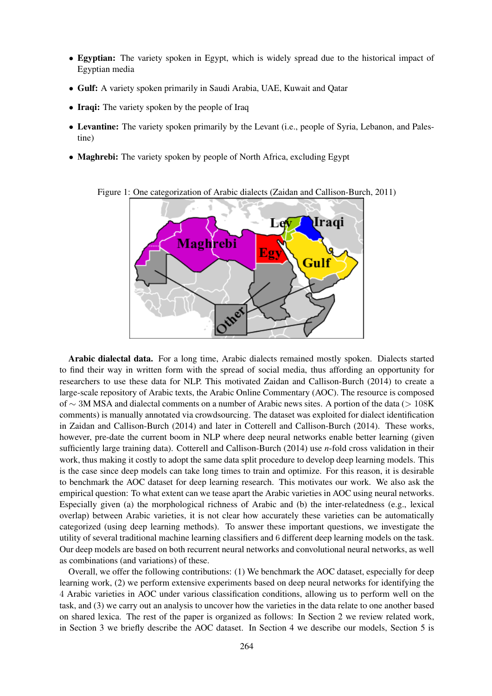- Egyptian: The variety spoken in Egypt, which is widely spread due to the historical impact of Egyptian media
- Gulf: A variety spoken primarily in Saudi Arabia, UAE, Kuwait and Qatar
- Iraqi: The variety spoken by the people of Iraq
- Levantine: The variety spoken primarily by the Levant (i.e., people of Syria, Lebanon, and Palestine)
- Maghrebi: The variety spoken by people of North Africa, excluding Egypt



Figure 1: One categorization of Arabic dialects (Zaidan and Callison-Burch, 2011)

Arabic dialectal data. For a long time, Arabic dialects remained mostly spoken. Dialects started to find their way in written form with the spread of social media, thus affording an opportunity for researchers to use these data for NLP. This motivated Zaidan and Callison-Burch (2014) to create a large-scale repository of Arabic texts, the Arabic Online Commentary (AOC). The resource is composed of ∼ 3M MSA and dialectal comments on a number of Arabic news sites. A portion of the data (> 108K comments) is manually annotated via crowdsourcing. The dataset was exploited for dialect identification in Zaidan and Callison-Burch (2014) and later in Cotterell and Callison-Burch (2014). These works, however, pre-date the current boom in NLP where deep neural networks enable better learning (given sufficiently large training data). Cotterell and Callison-Burch (2014) use *n*-fold cross validation in their work, thus making it costly to adopt the same data split procedure to develop deep learning models. This is the case since deep models can take long times to train and optimize. For this reason, it is desirable to benchmark the AOC dataset for deep learning research. This motivates our work. We also ask the empirical question: To what extent can we tease apart the Arabic varieties in AOC using neural networks. Especially given (a) the morphological richness of Arabic and (b) the inter-relatedness (e.g., lexical overlap) between Arabic varieties, it is not clear how accurately these varieties can be automatically categorized (using deep learning methods). To answer these important questions, we investigate the utility of several traditional machine learning classifiers and 6 different deep learning models on the task. Our deep models are based on both recurrent neural networks and convolutional neural networks, as well as combinations (and variations) of these.

Overall, we offer the following contributions: (1) We benchmark the AOC dataset, especially for deep learning work, (2) we perform extensive experiments based on deep neural networks for identifying the 4 Arabic varieties in AOC under various classification conditions, allowing us to perform well on the task, and (3) we carry out an analysis to uncover how the varieties in the data relate to one another based on shared lexica. The rest of the paper is organized as follows: In Section 2 we review related work, in Section 3 we briefly describe the AOC dataset. In Section 4 we describe our models, Section 5 is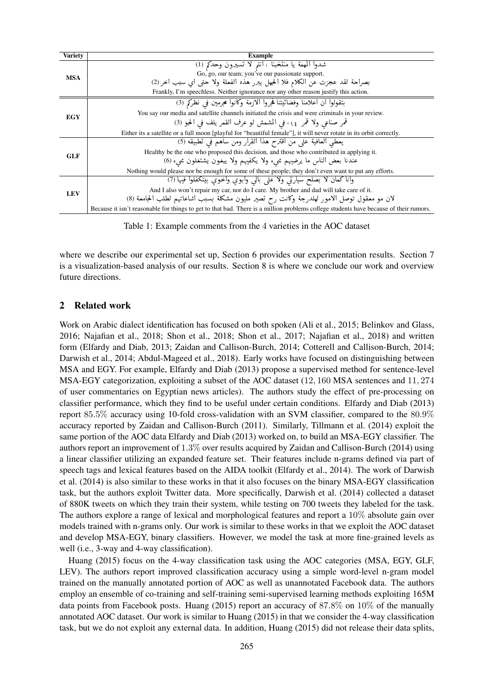| Variety    | <b>Example</b>                                                                                                                        |
|------------|---------------------------------------------------------------------------------------------------------------------------------------|
| <b>MSA</b> | شدوا المهمة يا منتخبنا ، انتم لا تسيرون وحدكم (1)                                                                                     |
|            | Go, go, our team; you've our passionate support.                                                                                      |
|            | بصراحة لقد عجزت عن الكلام فلا الحهل يبرر هذه الفعلة ولا حتى اي سبب اخر (2)                                                            |
|            | Frankly, I'm speechless. Neither ignorance nor any other reason justify this action.                                                  |
| EGY        | بتقولوا ان اعلامنا وفضائيتنا فجروا الازمة وكانوا محرمين في نظركم (3)                                                                  |
|            | You say our media and satellite channels initiated the crisis and were criminals in your review.                                      |
|            | قمر صناعي ولا قمر ١٤، في المشمش لو عرف القمر يلف في الحبو (3)                                                                         |
|            | Either its a satellite or a full moon [playful for "beautiful female"], it will never rotate in its orbit correctly.                  |
| GLF        | يعطي العافية على من اقترح هذا القرار ومن ساهم في تطبيقه (5)                                                                           |
|            | Healthy be the one who proposed this decision, and those who contributed in applying it.                                              |
|            | عندنا بعض الناس ما يرضيهم شيء ولا يكفيهم ولا يبغون يشتغلون شيء (6)                                                                    |
|            | Nothing would please nor be enough for some of these people; they don't even want to put any efforts.                                 |
| <b>LEV</b> | وانا كمان لا بصلح سيارتي ولا على بالي وابوي واخوي بيتكفلوا فيها (7)                                                                   |
|            | And I also won't repair my car, nor do I care. My brother and dad will take care of it.                                               |
|            | لان مو معقول توصل الامور لهلدرجة وكانت رح تصير مليون مشكلة بسبب اشاعاتهم لطلب الحامعة (8)                                             |
|            | Because it isn't reasonable for things to get to that bad. There is a million problems college students have because of their rumors. |

Table 1: Example comments from the 4 varieties in the AOC dataset

where we describe our experimental set up, Section 6 provides our experimentation results. Section 7 is a visualization-based analysis of our results. Section 8 is where we conclude our work and overview future directions.

#### 2 Related work

Work on Arabic dialect identification has focused on both spoken (Ali et al., 2015; Belinkov and Glass, 2016; Najafian et al., 2018; Shon et al., 2018; Shon et al., 2017; Najafian et al., 2018) and written form (Elfardy and Diab, 2013; Zaidan and Callison-Burch, 2014; Cotterell and Callison-Burch, 2014; Darwish et al., 2014; Abdul-Mageed et al., 2018). Early works have focused on distinguishing between MSA and EGY. For example, Elfardy and Diab (2013) propose a supervised method for sentence-level MSA-EGY categorization, exploiting a subset of the AOC dataset (12, 160 MSA sentences and 11, 274 of user commentaries on Egyptian news articles). The authors study the effect of pre-processing on classifier performance, which they find to be useful under certain conditions. Elfardy and Diab (2013) report 85.5% accuracy using 10-fold cross-validation with an SVM classifier, compared to the 80.9% accuracy reported by Zaidan and Callison-Burch (2011). Similarly, Tillmann et al. (2014) exploit the same portion of the AOC data Elfardy and Diab (2013) worked on, to build an MSA-EGY classifier. The authors report an improvement of 1.3% over results acquired by Zaidan and Callison-Burch (2014) using a linear classifier utilizing an expanded feature set. Their features include n-grams defined via part of speech tags and lexical features based on the AIDA toolkit (Elfardy et al., 2014). The work of Darwish et al. (2014) is also similar to these works in that it also focuses on the binary MSA-EGY classification task, but the authors exploit Twitter data. More specifically, Darwish et al. (2014) collected a dataset of 880K tweets on which they train their system, while testing on 700 tweets they labeled for the task. The authors explore a range of lexical and morphological features and report a 10% absolute gain over models trained with n-grams only. Our work is similar to these works in that we exploit the AOC dataset and develop MSA-EGY, binary classifiers. However, we model the task at more fine-grained levels as well (i.e., 3-way and 4-way classification).

Huang (2015) focus on the 4-way classification task using the AOC categories (MSA, EGY, GLF, LEV). The authors report improved classification accuracy using a simple word-level n-gram model trained on the manually annotated portion of AOC as well as unannotated Facebook data. The authors employ an ensemble of co-training and self-training semi-supervised learning methods exploiting 165M data points from Facebook posts. Huang (2015) report an accuracy of 87.8% on 10% of the manually annotated AOC dataset. Our work is similar to Huang (2015) in that we consider the 4-way classification task, but we do not exploit any external data. In addition, Huang (2015) did not release their data splits,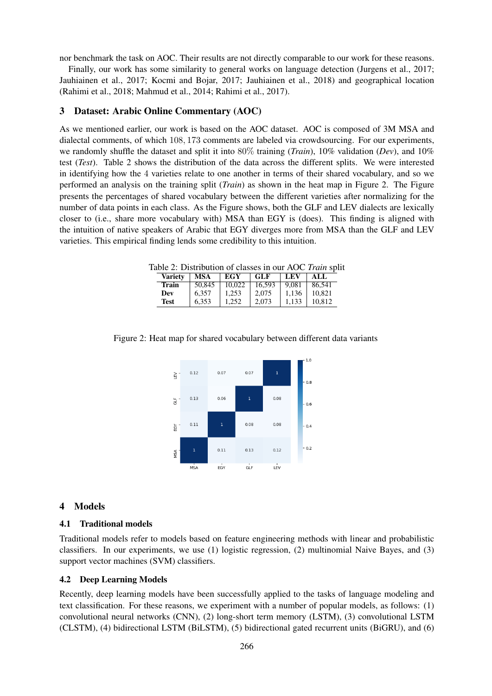nor benchmark the task on AOC. Their results are not directly comparable to our work for these reasons.

Finally, our work has some similarity to general works on language detection (Jurgens et al., 2017; Jauhiainen et al., 2017; Kocmi and Bojar, 2017; Jauhiainen et al., 2018) and geographical location (Rahimi et al., 2018; Mahmud et al., 2014; Rahimi et al., 2017).

### 3 Dataset: Arabic Online Commentary (AOC)

As we mentioned earlier, our work is based on the AOC dataset. AOC is composed of 3M MSA and dialectal comments, of which 108, 173 comments are labeled via crowdsourcing. For our experiments, we randomly shuffle the dataset and split it into 80% training (*Train*), 10% validation (*Dev*), and 10% test (*Test*). Table 2 shows the distribution of the data across the different splits. We were interested in identifying how the 4 varieties relate to one another in terms of their shared vocabulary, and so we performed an analysis on the training split (*Train*) as shown in the heat map in Figure 2. The Figure presents the percentages of shared vocabulary between the different varieties after normalizing for the number of data points in each class. As the Figure shows, both the GLF and LEV dialects are lexically closer to (i.e., share more vocabulary with) MSA than EGY is (does). This finding is aligned with the intuition of native speakers of Arabic that EGY diverges more from MSA than the GLF and LEV varieties. This empirical finding lends some credibility to this intuition.

Table 2: Distribution of classes in our AOC *Train* split

| <b>Variety</b> | MSA    | EGY    | <b>GLF</b> | LEV   | ALL.   |
|----------------|--------|--------|------------|-------|--------|
| Train          | 50.845 | 10.022 | 16.593     | 9.081 | 86.541 |
| Dev            | 6.357  | 1.253  | 2.075      | 1.136 | 10.821 |
| <b>Test</b>    | 6.353  | 1.252  | 2.073      | 1.133 | 10.812 |



Figure 2: Heat map for shared vocabulary between different data variants

#### 4 Models

#### 4.1 Traditional models

Traditional models refer to models based on feature engineering methods with linear and probabilistic classifiers. In our experiments, we use (1) logistic regression, (2) multinomial Naive Bayes, and (3) support vector machines (SVM) classifiers.

#### 4.2 Deep Learning Models

Recently, deep learning models have been successfully applied to the tasks of language modeling and text classification. For these reasons, we experiment with a number of popular models, as follows: (1) convolutional neural networks (CNN), (2) long-short term memory (LSTM), (3) convolutional LSTM (CLSTM), (4) bidirectional LSTM (BiLSTM), (5) bidirectional gated recurrent units (BiGRU), and (6)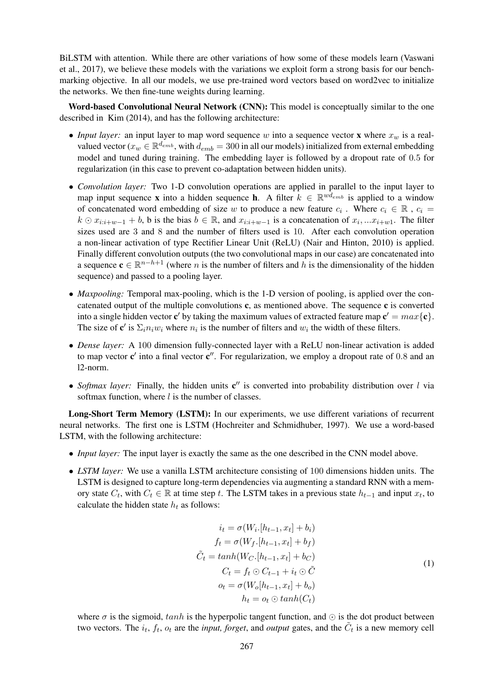BiLSTM with attention. While there are other variations of how some of these models learn (Vaswani et al., 2017), we believe these models with the variations we exploit form a strong basis for our benchmarking objective. In all our models, we use pre-trained word vectors based on word2vec to initialize the networks. We then fine-tune weights during learning.

Word-based Convolutional Neural Network (CNN): This model is conceptually similar to the one described in Kim (2014), and has the following architecture:

- *Input layer:* an input layer to map word sequence w into a sequence vector **x** where  $x_w$  is a realvalued vector ( $x_w \in \mathbb{R}^{d_{emb}}$ , with  $d_{emb} = 300$  in all our models) initialized from external embedding model and tuned during training. The embedding layer is followed by a dropout rate of 0.5 for regularization (in this case to prevent co-adaptation between hidden units).
- *Convolution layer:* Two 1-D convolution operations are applied in parallel to the input layer to map input sequence **x** into a hidden sequence **h**. A filter  $k \in \mathbb{R}^{w \bar{d}_{emb}}$  is applied to a window of concatenated word embedding of size w to produce a new feature  $c_i$ . Where  $c_i \in \mathbb{R}$ ,  $c_i =$  $k \odot x_{i:i+w-1} + b$ , b is the bias  $b \in \mathbb{R}$ , and  $x_{i:i+w-1}$  is a concatenation of  $x_i, ... x_{i+w1}$ . The filter sizes used are 3 and 8 and the number of filters used is 10. After each convolution operation a non-linear activation of type Rectifier Linear Unit (ReLU) (Nair and Hinton, 2010) is applied. Finally different convolution outputs (the two convolutional maps in our case) are concatenated into a sequence  $\mathbf{c} \in \mathbb{R}^{n-h+1}$  (where n is the number of filters and h is the dimensionality of the hidden sequence) and passed to a pooling layer.
- *Maxpooling:* Temporal max-pooling, which is the 1-D version of pooling, is applied over the concatenated output of the multiple convolutions  $c$ , as mentioned above. The sequence  $c$  is converted into a single hidden vector  $\mathbf{c}'$  by taking the maximum values of extracted feature map  $\mathbf{c}' = max\{\mathbf{c}\}.$ The size of  $\mathbf{c}'$  is  $\Sigma_i n_i w_i$  where  $n_i$  is the number of filters and  $w_i$  the width of these filters.
- *Dense layer:* A 100 dimension fully-connected layer with a ReLU non-linear activation is added to map vector  $c'$  into a final vector  $c''$ . For regularization, we employ a dropout rate of 0.8 and an l2-norm.
- Softmax layer: Finally, the hidden units  $c''$  is converted into probability distribution over l via softmax function, where  $l$  is the number of classes.

Long-Short Term Memory (LSTM): In our experiments, we use different variations of recurrent neural networks. The first one is LSTM (Hochreiter and Schmidhuber, 1997). We use a word-based LSTM, with the following architecture:

- *Input layer:* The input layer is exactly the same as the one described in the CNN model above.
- *LSTM layer:* We use a vanilla LSTM architecture consisting of 100 dimensions hidden units. The LSTM is designed to capture long-term dependencies via augmenting a standard RNN with a memory state  $C_t$ , with  $C_t \in \mathbb{R}$  at time step t. The LSTM takes in a previous state  $h_{t-1}$  and input  $x_t$ , to calculate the hidden state  $h_t$  as follows:

$$
i_t = \sigma(W_i.[h_{t-1}, x_t] + b_i)
$$
  
\n
$$
f_t = \sigma(W_f.[h_{t-1}, x_t] + b_f)
$$
  
\n
$$
\tilde{C}_t = \tanh(W_C.[h_{t-1}, x_t] + b_C)
$$
  
\n
$$
C_t = f_t \odot C_{t-1} + i_t \odot \tilde{C}
$$
  
\n
$$
o_t = \sigma(W_o[h_{t-1}, x_t] + b_o)
$$
  
\n
$$
h_t = o_t \odot \tanh(C_t)
$$

where  $\sigma$  is the sigmoid, tanh is the hyperpolic tangent function, and  $\odot$  is the dot product between two vectors. The  $i_t$ ,  $f_t$ ,  $o_t$  are the *input, forget*, and *output* gates, and the  $\tilde{C}_t$  is a new memory cell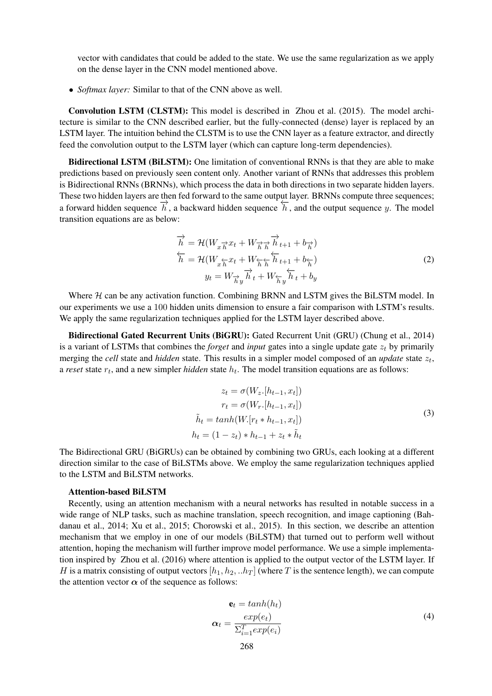vector with candidates that could be added to the state. We use the same regularization as we apply on the dense layer in the CNN model mentioned above.

• *Softmax layer:* Similar to that of the CNN above as well.

Convolution LSTM (CLSTM): This model is described in Zhou et al. (2015). The model architecture is similar to the CNN described earlier, but the fully-connected (dense) layer is replaced by an LSTM layer. The intuition behind the CLSTM is to use the CNN layer as a feature extractor, and directly feed the convolution output to the LSTM layer (which can capture long-term dependencies).

Bidirectional LSTM (BiLSTM): One limitation of conventional RNNs is that they are able to make predictions based on previously seen content only. Another variant of RNNs that addresses this problem is Bidirectional RNNs (BRNNs), which process the data in both directions in two separate hidden layers. These two hidden layers are then fed forward to the same output layer. BRNNs compute three sequences; a forward hidden sequence  $\overrightarrow{h}$ , a backward hidden sequence  $\overrightarrow{h}$ , and the output sequence y. The model transition equations are as below:

$$
\overrightarrow{h} = \mathcal{H}(W_{x}\overrightarrow{h}x_{t} + W_{\overrightarrow{h}}\overrightarrow{h}_{t+1} + b_{\overrightarrow{h}})
$$
  
\n
$$
\overleftarrow{h} = \mathcal{H}(W_{x}\overleftarrow{h}x_{t} + W_{\overleftarrow{h}}\overleftarrow{h}_{t+1} + b_{\overleftarrow{h}})
$$
  
\n
$$
y_{t} = W_{\overrightarrow{h}y}\overrightarrow{h}_{t} + W_{\overleftarrow{h}y}\overleftarrow{h}_{t} + b_{y}
$$
\n(2)

Where  $H$  can be any activation function. Combining BRNN and LSTM gives the BiLSTM model. In our experiments we use a 100 hidden units dimension to ensure a fair comparison with LSTM's results. We apply the same regularization techniques applied for the LSTM layer described above.

Bidirectional Gated Recurrent Units (BiGRU): Gated Recurrent Unit (GRU) (Chung et al., 2014) is a variant of LSTMs that combines the *forget* and *input* gates into a single update gate  $z_t$  by primarily merging the *cell* state and *hidden* state. This results in a simpler model composed of an *update* state  $z_t$ , a *reset* state  $r_t$ , and a new simpler *hidden* state  $h_t$ . The model transition equations are as follows:

$$
z_t = \sigma(W_z.[h_{t-1}, x_t])
$$
  
\n
$$
r_t = \sigma(W_r.[h_{t-1}, x_t])
$$
  
\n
$$
\tilde{h}_t = \tanh(W.[r_t * h_{t-1}, x_t])
$$
  
\n
$$
h_t = (1 - z_t) * h_{t-1} + z_t * \tilde{h}_t
$$
\n(3)

The Bidirectional GRU (BiGRUs) can be obtained by combining two GRUs, each looking at a different direction similar to the case of BiLSTMs above. We employ the same regularization techniques applied to the LSTM and BiLSTM networks.

## Attention-based BiLSTM

Recently, using an attention mechanism with a neural networks has resulted in notable success in a wide range of NLP tasks, such as machine translation, speech recognition, and image captioning (Bahdanau et al., 2014; Xu et al., 2015; Chorowski et al., 2015). In this section, we describe an attention mechanism that we employ in one of our models (BiLSTM) that turned out to perform well without attention, hoping the mechanism will further improve model performance. We use a simple implementation inspired by Zhou et al. (2016) where attention is applied to the output vector of the LSTM layer. If H is a matrix consisting of output vectors  $[h_1, h_2, ... h_T]$  (where T is the sentence length), we can compute the attention vector  $\alpha$  of the sequence as follows:

$$
\mathbf{e}_t = \tanh(h_t) \n\alpha_t = \frac{\exp(e_t)}{\sum_{i=1}^T \exp(e_i)}
$$
\n(4)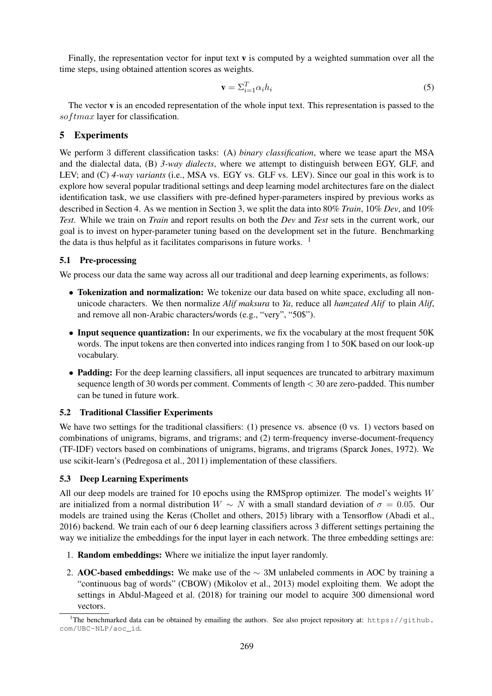Finally, the representation vector for input text  $\bf{v}$  is computed by a weighted summation over all the time steps, using obtained attention scores as weights.

$$
\mathbf{v} = \Sigma_{i=1}^T \alpha_i h_i \tag{5}
$$

The vector v is an encoded representation of the whole input text. This representation is passed to the  $softmax$  layer for classification.

## 5 Experiments

We perform 3 different classification tasks: (A) *binary classification*, where we tease apart the MSA and the dialectal data, (B) *3-way dialects*, where we attempt to distinguish between EGY, GLF, and LEV; and (C) *4-way variants* (i.e., MSA vs. EGY vs. GLF vs. LEV). Since our goal in this work is to explore how several popular traditional settings and deep learning model architectures fare on the dialect identification task, we use classifiers with pre-defined hyper-parameters inspired by previous works as described in Section 4. As we mention in Section 3, we split the data into 80% *Train*, 10% *Dev*, and 10% *Test*. While we train on *Train* and report results on both the *Dev* and *Test* sets in the current work, our goal is to invest on hyper-parameter tuning based on the development set in the future. Benchmarking the data is thus helpful as it facilitates comparisons in future works. <sup>1</sup>

## 5.1 Pre-processing

We process our data the same way across all our traditional and deep learning experiments, as follows:

- Tokenization and normalization: We tokenize our data based on white space, excluding all nonunicode characters. We then normalize *Alif maksura* to *Ya*, reduce all *hamzated Alif* to plain *Alif*, and remove all non-Arabic characters/words (e.g., "very", "50\$").
- Input sequence quantization: In our experiments, we fix the vocabulary at the most frequent 50K words. The input tokens are then converted into indices ranging from 1 to 50K based on our look-up vocabulary.
- Padding: For the deep learning classifiers, all input sequences are truncated to arbitrary maximum sequence length of 30 words per comment. Comments of length < 30 are zero-padded. This number can be tuned in future work.

#### 5.2 Traditional Classifier Experiments

We have two settings for the traditional classifiers: (1) presence vs. absence (0 vs. 1) vectors based on combinations of unigrams, bigrams, and trigrams; and (2) term-frequency inverse-document-frequency (TF-IDF) vectors based on combinations of unigrams, bigrams, and trigrams (Sparck Jones, 1972). We use scikit-learn's (Pedregosa et al., 2011) implementation of these classifiers.

#### 5.3 Deep Learning Experiments

All our deep models are trained for 10 epochs using the RMSprop optimizer. The model's weights  $W$ are initialized from a normal distribution  $W \sim N$  with a small standard deviation of  $\sigma = 0.05$ . Our models are trained using the Keras (Chollet and others, 2015) library with a Tensorflow (Abadi et al., 2016) backend. We train each of our 6 deep learning classifiers across 3 different settings pertaining the way we initialize the embeddings for the input layer in each network. The three embedding settings are:

- 1. Random embeddings: Where we initialize the input layer randomly.
- 2. AOC-based embeddings: We make use of the  $\sim 3$ M unlabeled comments in AOC by training a "continuous bag of words" (CBOW) (Mikolov et al., 2013) model exploiting them. We adopt the settings in Abdul-Mageed et al. (2018) for training our model to acquire 300 dimensional word vectors.

<sup>&</sup>lt;sup>1</sup>The benchmarked data can be obtained by emailing the authors. See also project repository at: https://github. com/UBC-NLP/aoc\_id.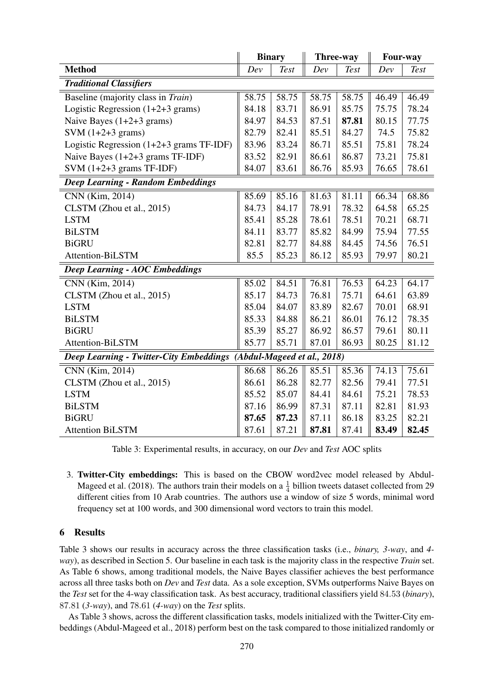|                                                                               | <b>Binary</b> |             | Three-way |             | Four-way |       |  |  |  |
|-------------------------------------------------------------------------------|---------------|-------------|-----------|-------------|----------|-------|--|--|--|
| <b>Method</b>                                                                 | Dev           | <b>Test</b> | Dev       | <b>Test</b> | Dev      | Test  |  |  |  |
| <b>Traditional Classifiers</b>                                                |               |             |           |             |          |       |  |  |  |
| Baseline (majority class in Train)                                            |               | 58.75       | 58.75     | 58.75       | 46.49    | 46.49 |  |  |  |
| Logistic Regression $(1+2+3$ grams)                                           | 84.18         | 83.71       | 86.91     | 85.75       | 75.75    | 78.24 |  |  |  |
| Naive Bayes $(1+2+3 \text{ grams})$                                           | 84.97         | 84.53       | 87.51     | 87.81       | 80.15    | 77.75 |  |  |  |
| SVM $(1+2+3$ grams)                                                           | 82.79         | 82.41       | 85.51     | 84.27       | 74.5     | 75.82 |  |  |  |
| Logistic Regression $(1+2+3)$ grams TF-IDF)                                   | 83.96         | 83.24       | 86.71     | 85.51       | 75.81    | 78.24 |  |  |  |
| Naive Bayes $(1+2+3$ grams TF-IDF)                                            | 83.52         | 82.91       | 86.61     | 86.87       | 73.21    | 75.81 |  |  |  |
| SVM $(1+2+3$ grams TF-IDF)                                                    |               | 83.61       | 86.76     | 85.93       | 76.65    | 78.61 |  |  |  |
| <b>Deep Learning - Random Embeddings</b>                                      |               |             |           |             |          |       |  |  |  |
| CNN (Kim, 2014)                                                               | 85.69         | 85.16       | 81.63     | 81.11       | 66.34    | 68.86 |  |  |  |
| CLSTM (Zhou et al., 2015)                                                     | 84.73         | 84.17       | 78.91     | 78.32       | 64.58    | 65.25 |  |  |  |
| <b>LSTM</b>                                                                   |               | 85.28       | 78.61     | 78.51       | 70.21    | 68.71 |  |  |  |
| <b>BiLSTM</b>                                                                 | 84.11         | 83.77       | 85.82     | 84.99       | 75.94    | 77.55 |  |  |  |
| <b>BiGRU</b>                                                                  |               | 82.77       | 84.88     | 84.45       | 74.56    | 76.51 |  |  |  |
| Attention-BiLSTM                                                              |               | 85.23       | 86.12     | 85.93       | 79.97    | 80.21 |  |  |  |
| <b>Deep Learning - AOC Embeddings</b>                                         |               |             |           |             |          |       |  |  |  |
| CNN (Kim, 2014)                                                               | 85.02         | 84.51       | 76.81     | 76.53       | 64.23    | 64.17 |  |  |  |
| CLSTM (Zhou et al., 2015)                                                     | 85.17         | 84.73       | 76.81     | 75.71       | 64.61    | 63.89 |  |  |  |
| <b>LSTM</b>                                                                   |               | 84.07       | 83.89     | 82.67       | 70.01    | 68.91 |  |  |  |
| <b>BiLSTM</b>                                                                 |               | 84.88       | 86.21     | 86.01       | 76.12    | 78.35 |  |  |  |
| <b>BiGRU</b>                                                                  | 85.39         | 85.27       | 86.92     | 86.57       | 79.61    | 80.11 |  |  |  |
| Attention-BiLSTM                                                              | 85.77         | 85.71       | 87.01     | 86.93       | 80.25    | 81.12 |  |  |  |
| (Abdul-Mageed et al., 2018)<br><b>Deep Learning - Twitter-City Embeddings</b> |               |             |           |             |          |       |  |  |  |
| CNN (Kim, 2014)                                                               | 86.68         | 86.26       | 85.51     | 85.36       | 74.13    | 75.61 |  |  |  |
| CLSTM (Zhou et al., 2015)                                                     | 86.61         | 86.28       | 82.77     | 82.56       | 79.41    | 77.51 |  |  |  |
| <b>LSTM</b>                                                                   |               | 85.07       | 84.41     | 84.61       | 75.21    | 78.53 |  |  |  |
| <b>BiLSTM</b>                                                                 | 87.16         | 86.99       | 87.31     | 87.11       | 82.81    | 81.93 |  |  |  |
| <b>BiGRU</b>                                                                  | 87.65         | 87.23       | 87.11     | 86.18       | 83.25    | 82.21 |  |  |  |
| <b>Attention BiLSTM</b>                                                       |               | 87.21       | 87.81     | 87.41       | 83.49    | 82.45 |  |  |  |

Table 3: Experimental results, in accuracy, on our *Dev* and *Test* AOC splits

3. Twitter-City embeddings: This is based on the CBOW word2vec model released by Abdul-Mageed et al. (2018). The authors train their models on a  $\frac{1}{4}$  billion tweets dataset collected from 29 different cities from 10 Arab countries. The authors use a window of size 5 words, minimal word frequency set at 100 words, and 300 dimensional word vectors to train this model.

## 6 Results

Table 3 shows our results in accuracy across the three classification tasks (i.e., *binary, 3-way*, and *4 way*), as described in Section 5. Our baseline in each task is the majority class in the respective *Train* set. As Table 6 shows, among traditional models, the Naive Bayes classifier achieves the best performance across all three tasks both on *Dev* and *Test* data. As a sole exception, SVMs outperforms Naive Bayes on the *Test* set for the 4-way classification task. As best accuracy, traditional classifiers yield 84.53 (*binary*), 87.81 (*3-way*), and 78.61 (*4-way*) on the *Test* splits.

As Table 3 shows, across the different classification tasks, models initialized with the Twitter-City embeddings (Abdul-Mageed et al., 2018) perform best on the task compared to those initialized randomly or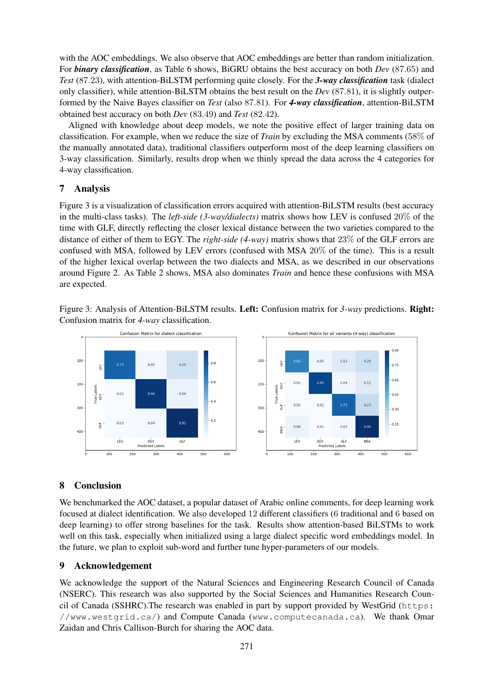with the AOC embeddings. We also observe that AOC embeddings are better than random initialization. For *binary classification*, as Table 6 shows, BiGRU obtains the best accuracy on both *Dev* (87.65) and *Test* (87.23), with attention-BiLSTM performing quite closely. For the *3-way classification* task (dialect only classifier), while attention-BiLSTM obtains the best result on the *Dev* (87.81), it is slightly outperformed by the Naive Bayes classifier on *Test* (also 87.81). For *4-way classification*, attention-BiLSTM obtained best accuracy on both *Dev* (83.49) and *Test* (82.42).

Aligned with knowledge about deep models, we note the positive effect of larger training data on classification. For example, when we reduce the size of *Train* by excluding the MSA comments (58% of the manually annotated data), traditional classifiers outperform most of the deep learning classifiers on 3-way classification. Similarly, results drop when we thinly spread the data across the 4 categories for 4-way classification.

## 7 Analysis

Figure 3 is a visualization of classification errors acquired with attention-BiLSTM results (best accuracy in the multi-class tasks). The *left-side (3-way/dialects)* matrix shows how LEV is confused 20% of the time with GLF, directly reflecting the closer lexical distance between the two varieties compared to the distance of either of them to EGY. The *right-side (4-way)* matrix shows that 23% of the GLF errors are confused with MSA, followed by LEV errors (confused with MSA 20% of the time). This is a result of the higher lexical overlap between the two dialects and MSA, as we described in our observations around Figure 2. As Table 2 shows, MSA also dominates *Train* and hence these confusions with MSA are expected.

Figure 3: Analysis of Attention-BiLSTM results. Left: Confusion matrix for *3-way* predictions. Right: Confusion matrix for *4-way* classification.



# 8 Conclusion

We benchmarked the AOC dataset, a popular dataset of Arabic online comments, for deep learning work focused at dialect identification. We also developed 12 different classifiers (6 traditional and 6 based on deep learning) to offer strong baselines for the task. Results show attention-based BiLSTMs to work well on this task, especially when initialized using a large dialect specific word embeddings model. In the future, we plan to exploit sub-word and further tune hyper-parameters of our models.

## 9 Acknowledgement

We acknowledge the support of the Natural Sciences and Engineering Research Council of Canada (NSERC). This research was also supported by the Social Sciences and Humanities Research Council of Canada (SSHRC).The research was enabled in part by support provided by WestGrid (https: //www.westgrid.ca/) and Compute Canada (www.computecanada.ca). We thank Omar Zaidan and Chris Callison-Burch for sharing the AOC data.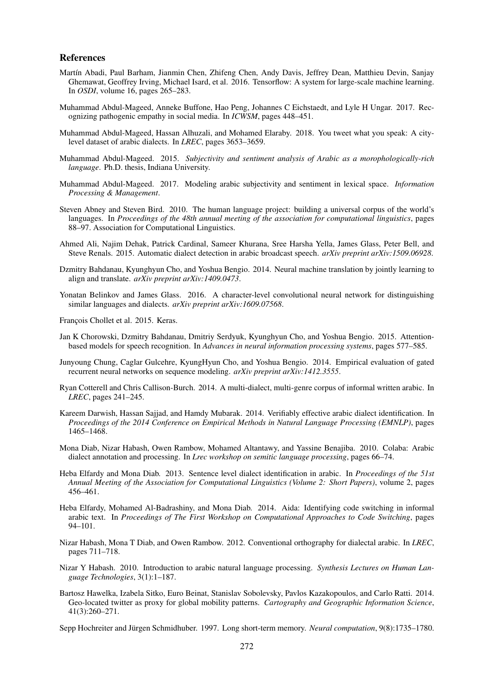#### References

- Martín Abadi, Paul Barham, Jianmin Chen, Zhifeng Chen, Andy Davis, Jeffrey Dean, Matthieu Devin, Sanjay Ghemawat, Geoffrey Irving, Michael Isard, et al. 2016. Tensorflow: A system for large-scale machine learning. In *OSDI*, volume 16, pages 265–283.
- Muhammad Abdul-Mageed, Anneke Buffone, Hao Peng, Johannes C Eichstaedt, and Lyle H Ungar. 2017. Recognizing pathogenic empathy in social media. In *ICWSM*, pages 448–451.
- Muhammad Abdul-Mageed, Hassan Alhuzali, and Mohamed Elaraby. 2018. You tweet what you speak: A citylevel dataset of arabic dialects. In *LREC*, pages 3653–3659.
- Muhammad Abdul-Mageed. 2015. *Subjectivity and sentiment analysis of Arabic as a morophologically-rich language*. Ph.D. thesis, Indiana University.
- Muhammad Abdul-Mageed. 2017. Modeling arabic subjectivity and sentiment in lexical space. *Information Processing & Management*.
- Steven Abney and Steven Bird. 2010. The human language project: building a universal corpus of the world's languages. In *Proceedings of the 48th annual meeting of the association for computational linguistics*, pages 88–97. Association for Computational Linguistics.
- Ahmed Ali, Najim Dehak, Patrick Cardinal, Sameer Khurana, Sree Harsha Yella, James Glass, Peter Bell, and Steve Renals. 2015. Automatic dialect detection in arabic broadcast speech. *arXiv preprint arXiv:1509.06928*.
- Dzmitry Bahdanau, Kyunghyun Cho, and Yoshua Bengio. 2014. Neural machine translation by jointly learning to align and translate. *arXiv preprint arXiv:1409.0473*.
- Yonatan Belinkov and James Glass. 2016. A character-level convolutional neural network for distinguishing similar languages and dialects. *arXiv preprint arXiv:1609.07568*.

François Chollet et al. 2015. Keras.

- Jan K Chorowski, Dzmitry Bahdanau, Dmitriy Serdyuk, Kyunghyun Cho, and Yoshua Bengio. 2015. Attentionbased models for speech recognition. In *Advances in neural information processing systems*, pages 577–585.
- Junyoung Chung, Caglar Gulcehre, KyungHyun Cho, and Yoshua Bengio. 2014. Empirical evaluation of gated recurrent neural networks on sequence modeling. *arXiv preprint arXiv:1412.3555*.
- Ryan Cotterell and Chris Callison-Burch. 2014. A multi-dialect, multi-genre corpus of informal written arabic. In *LREC*, pages 241–245.
- Kareem Darwish, Hassan Sajjad, and Hamdy Mubarak. 2014. Verifiably effective arabic dialect identification. In *Proceedings of the 2014 Conference on Empirical Methods in Natural Language Processing (EMNLP)*, pages 1465–1468.
- Mona Diab, Nizar Habash, Owen Rambow, Mohamed Altantawy, and Yassine Benajiba. 2010. Colaba: Arabic dialect annotation and processing. In *Lrec workshop on semitic language processing*, pages 66–74.
- Heba Elfardy and Mona Diab. 2013. Sentence level dialect identification in arabic. In *Proceedings of the 51st Annual Meeting of the Association for Computational Linguistics (Volume 2: Short Papers)*, volume 2, pages 456–461.
- Heba Elfardy, Mohamed Al-Badrashiny, and Mona Diab. 2014. Aida: Identifying code switching in informal arabic text. In *Proceedings of The First Workshop on Computational Approaches to Code Switching*, pages 94–101.
- Nizar Habash, Mona T Diab, and Owen Rambow. 2012. Conventional orthography for dialectal arabic. In *LREC*, pages 711–718.
- Nizar Y Habash. 2010. Introduction to arabic natural language processing. *Synthesis Lectures on Human Language Technologies*, 3(1):1–187.
- Bartosz Hawelka, Izabela Sitko, Euro Beinat, Stanislav Sobolevsky, Pavlos Kazakopoulos, and Carlo Ratti. 2014. Geo-located twitter as proxy for global mobility patterns. *Cartography and Geographic Information Science*, 41(3):260–271.

Sepp Hochreiter and Jürgen Schmidhuber. 1997. Long short-term memory. *Neural computation*, 9(8):1735–1780.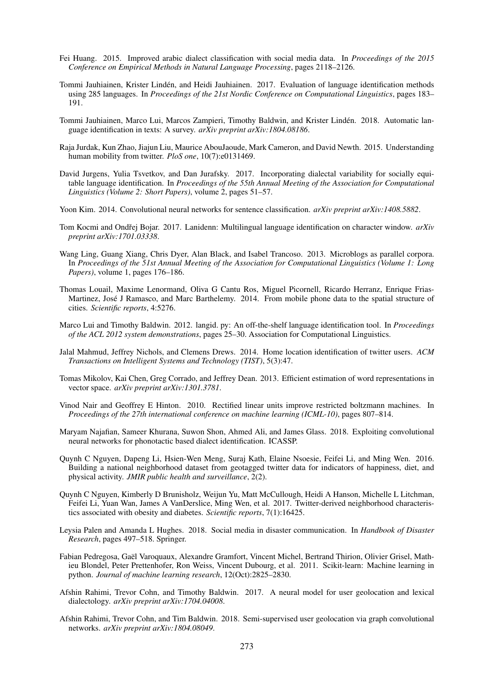- Fei Huang. 2015. Improved arabic dialect classification with social media data. In *Proceedings of the 2015 Conference on Empirical Methods in Natural Language Processing*, pages 2118–2126.
- Tommi Jauhiainen, Krister Linden, and Heidi Jauhiainen. 2017. Evaluation of language identification methods ´ using 285 languages. In *Proceedings of the 21st Nordic Conference on Computational Linguistics*, pages 183– 191.
- Tommi Jauhiainen, Marco Lui, Marcos Zampieri, Timothy Baldwin, and Krister Linden. 2018. Automatic lan- ´ guage identification in texts: A survey. *arXiv preprint arXiv:1804.08186*.
- Raja Jurdak, Kun Zhao, Jiajun Liu, Maurice AbouJaoude, Mark Cameron, and David Newth. 2015. Understanding human mobility from twitter. *PloS one*, 10(7):e0131469.
- David Jurgens, Yulia Tsvetkov, and Dan Jurafsky. 2017. Incorporating dialectal variability for socially equitable language identification. In *Proceedings of the 55th Annual Meeting of the Association for Computational Linguistics (Volume 2: Short Papers)*, volume 2, pages 51–57.
- Yoon Kim. 2014. Convolutional neural networks for sentence classification. *arXiv preprint arXiv:1408.5882*.
- Tom Kocmi and Ondřej Bojar. 2017. Lanidenn: Multilingual language identification on character window. *arXiv preprint arXiv:1701.03338*.
- Wang Ling, Guang Xiang, Chris Dyer, Alan Black, and Isabel Trancoso. 2013. Microblogs as parallel corpora. In *Proceedings of the 51st Annual Meeting of the Association for Computational Linguistics (Volume 1: Long Papers)*, volume 1, pages 176–186.
- Thomas Louail, Maxime Lenormand, Oliva G Cantu Ros, Miguel Picornell, Ricardo Herranz, Enrique Frias-Martinez, José J Ramasco, and Marc Barthelemy. 2014. From mobile phone data to the spatial structure of cities. *Scientific reports*, 4:5276.
- Marco Lui and Timothy Baldwin. 2012. langid. py: An off-the-shelf language identification tool. In *Proceedings of the ACL 2012 system demonstrations*, pages 25–30. Association for Computational Linguistics.
- Jalal Mahmud, Jeffrey Nichols, and Clemens Drews. 2014. Home location identification of twitter users. *ACM Transactions on Intelligent Systems and Technology (TIST)*, 5(3):47.
- Tomas Mikolov, Kai Chen, Greg Corrado, and Jeffrey Dean. 2013. Efficient estimation of word representations in vector space. *arXiv preprint arXiv:1301.3781*.
- Vinod Nair and Geoffrey E Hinton. 2010. Rectified linear units improve restricted boltzmann machines. In *Proceedings of the 27th international conference on machine learning (ICML-10)*, pages 807–814.
- Maryam Najafian, Sameer Khurana, Suwon Shon, Ahmed Ali, and James Glass. 2018. Exploiting convolutional neural networks for phonotactic based dialect identification. ICASSP.
- Quynh C Nguyen, Dapeng Li, Hsien-Wen Meng, Suraj Kath, Elaine Nsoesie, Feifei Li, and Ming Wen. 2016. Building a national neighborhood dataset from geotagged twitter data for indicators of happiness, diet, and physical activity. *JMIR public health and surveillance*, 2(2).
- Quynh C Nguyen, Kimberly D Brunisholz, Weijun Yu, Matt McCullough, Heidi A Hanson, Michelle L Litchman, Feifei Li, Yuan Wan, James A VanDerslice, Ming Wen, et al. 2017. Twitter-derived neighborhood characteristics associated with obesity and diabetes. *Scientific reports*, 7(1):16425.
- Leysia Palen and Amanda L Hughes. 2018. Social media in disaster communication. In *Handbook of Disaster Research*, pages 497–518. Springer.
- Fabian Pedregosa, Gael Varoquaux, Alexandre Gramfort, Vincent Michel, Bertrand Thirion, Olivier Grisel, Math- ¨ ieu Blondel, Peter Prettenhofer, Ron Weiss, Vincent Dubourg, et al. 2011. Scikit-learn: Machine learning in python. *Journal of machine learning research*, 12(Oct):2825–2830.
- Afshin Rahimi, Trevor Cohn, and Timothy Baldwin. 2017. A neural model for user geolocation and lexical dialectology. *arXiv preprint arXiv:1704.04008*.
- Afshin Rahimi, Trevor Cohn, and Tim Baldwin. 2018. Semi-supervised user geolocation via graph convolutional networks. *arXiv preprint arXiv:1804.08049*.